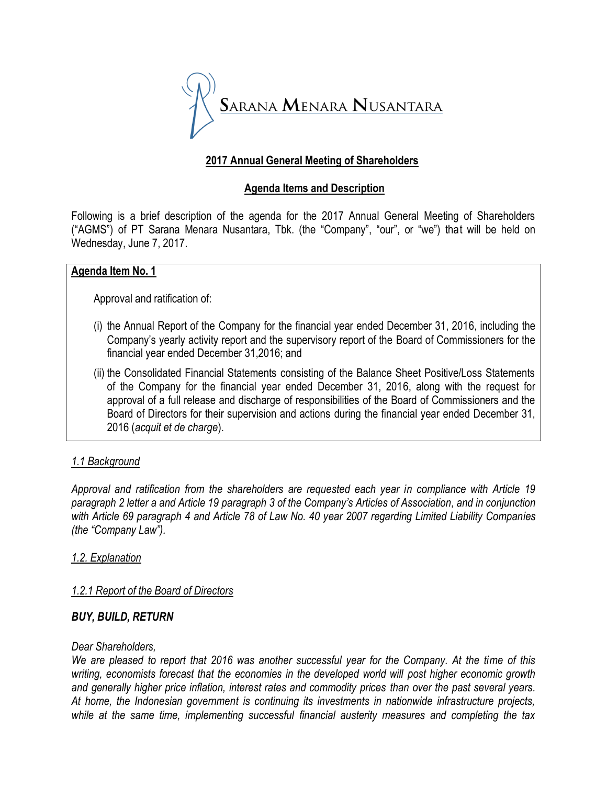

## **2017 Annual General Meeting of Shareholders**

### **Agenda Items and Description**

Following is a brief description of the agenda for the 2017 Annual General Meeting of Shareholders ("AGMS") of PT Sarana Menara Nusantara, Tbk. (the "Company", "our", or "we") that will be held on Wednesday, June 7, 2017.

#### **Agenda Item No. 1**

Approval and ratification of:

- (i) the Annual Report of the Company for the financial year ended December 31, 2016, including the Company's yearly activity report and the supervisory report of the Board of Commissioners for the financial year ended December 31,2016; and
- (ii) the Consolidated Financial Statements consisting of the Balance Sheet Positive/Loss Statements of the Company for the financial year ended December 31, 2016, along with the request for approval of a full release and discharge of responsibilities of the Board of Commissioners and the Board of Directors for their supervision and actions during the financial year ended December 31, 2016 (*acquit et de charge*).

# *1.1 Background*

*Approval and ratification from the shareholders are requested each year in compliance with Article 19 paragraph 2 letter a and Article 19 paragraph 3 of the Company's Articles of Association, and in conjunction with Article 69 paragraph 4 and Article 78 of Law No. 40 year 2007 regarding Limited Liability Companies (the "Company Law").*

### *1.2. Explanation*

### *1.2.1 Report of the Board of Directors*

#### *BUY, BUILD, RETURN*

#### *Dear Shareholders,*

*We are pleased to report that 2016 was another successful year for the Company. At the time of this writing, economists forecast that the economies in the developed world will post higher economic growth and generally higher price inflation, interest rates and commodity prices than over the past several years. At home, the Indonesian government is continuing its investments in nationwide infrastructure projects, while at the same time, implementing successful financial austerity measures and completing the tax*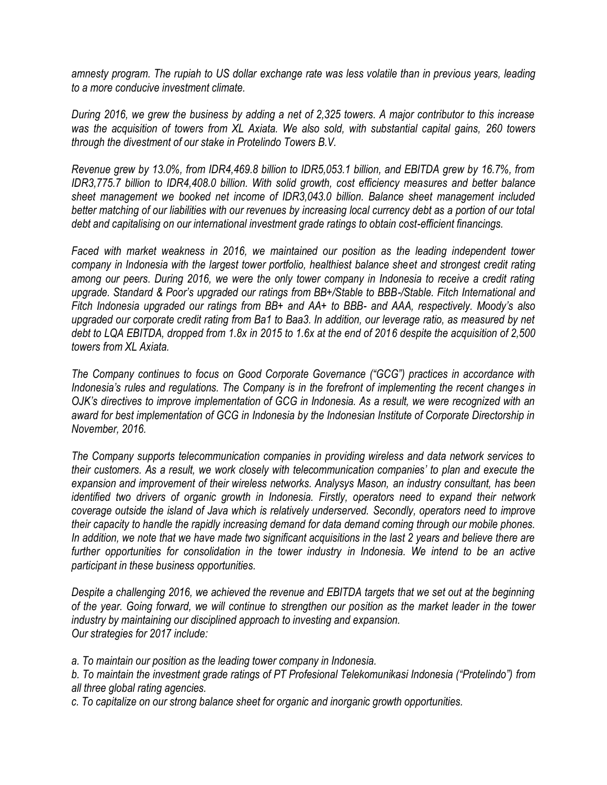*amnesty program. The rupiah to US dollar exchange rate was less volatile than in previous years, leading to a more conducive investment climate.*

*During 2016, we grew the business by adding a net of 2,325 towers. A major contributor to this increase was the acquisition of towers from XL Axiata. We also sold, with substantial capital gains, 260 towers through the divestment of our stake in Protelindo Towers B.V.*

*Revenue grew by 13.0%, from IDR4,469.8 billion to IDR5,053.1 billion, and EBITDA grew by 16.7%, from IDR3,775.7 billion to IDR4,408.0 billion. With solid growth, cost efficiency measures and better balance sheet management we booked net income of IDR3,043.0 billion. Balance sheet management included better matching of our liabilities with our revenues by increasing local currency debt as a portion of our total debt and capitalising on our international investment grade ratings to obtain cost-efficient financings.*

*Faced with market weakness in 2016, we maintained our position as the leading independent tower company in Indonesia with the largest tower portfolio, healthiest balance sheet and strongest credit rating among our peers. During 2016, we were the only tower company in Indonesia to receive a credit rating upgrade. Standard & Poor's upgraded our ratings from BB+/Stable to BBB-/Stable. Fitch International and Fitch Indonesia upgraded our ratings from BB+ and AA+ to BBB- and AAA, respectively. Moody's also upgraded our corporate credit rating from Ba1 to Baa3. In addition, our leverage ratio, as measured by net debt to LQA EBITDA, dropped from 1.8x in 2015 to 1.6x at the end of 2016 despite the acquisition of 2,500 towers from XL Axiata.*

*The Company continues to focus on Good Corporate Governance ("GCG") practices in accordance with Indonesia's rules and regulations. The Company is in the forefront of implementing the recent changes in OJK's directives to improve implementation of GCG in Indonesia. As a result, we were recognized with an award for best implementation of GCG in Indonesia by the Indonesian Institute of Corporate Directorship in November, 2016.*

*The Company supports telecommunication companies in providing wireless and data network services to their customers. As a result, we work closely with telecommunication companies' to plan and execute the expansion and improvement of their wireless networks. Analysys Mason, an industry consultant, has been identified two drivers of organic growth in Indonesia. Firstly, operators need to expand their network coverage outside the island of Java which is relatively underserved. Secondly, operators need to improve their capacity to handle the rapidly increasing demand for data demand coming through our mobile phones. In addition, we note that we have made two significant acquisitions in the last 2 years and believe there are further opportunities for consolidation in the tower industry in Indonesia. We intend to be an active participant in these business opportunities.*

*Despite a challenging 2016, we achieved the revenue and EBITDA targets that we set out at the beginning of the year. Going forward, we will continue to strengthen our position as the market leader in the tower industry by maintaining our disciplined approach to investing and expansion. Our strategies for 2017 include:*

*a. To maintain our position as the leading tower company in Indonesia.*

*b. To maintain the investment grade ratings of PT Profesional Telekomunikasi Indonesia ("Protelindo") from all three global rating agencies.*

*c. To capitalize on our strong balance sheet for organic and inorganic growth opportunities.*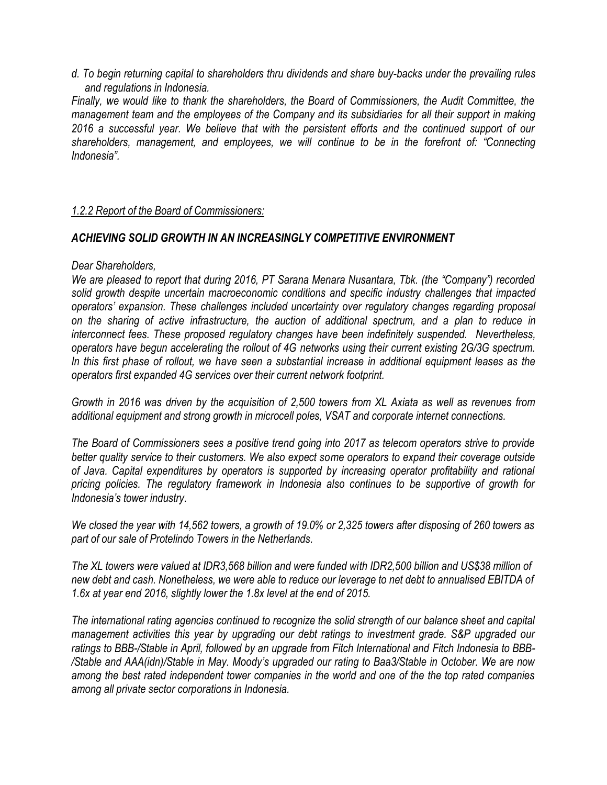*d. To begin returning capital to shareholders thru dividends and share buy-backs under the prevailing rules and regulations in Indonesia.*

*Finally, we would like to thank the shareholders, the Board of Commissioners, the Audit Committee, the management team and the employees of the Company and its subsidiaries for all their support in making 2016 a successful year. We believe that with the persistent efforts and the continued support of our shareholders, management, and employees, we will continue to be in the forefront of: "Connecting Indonesia".*

### *1.2.2 Report of the Board of Commissioners:*

### *ACHIEVING SOLID GROWTH IN AN INCREASINGLY COMPETITIVE ENVIRONMENT*

### *Dear Shareholders,*

*We are pleased to report that during 2016, PT Sarana Menara Nusantara, Tbk. (the "Company") recorded solid growth despite uncertain macroeconomic conditions and specific industry challenges that impacted operators' expansion. These challenges included uncertainty over regulatory changes regarding proposal on the sharing of active infrastructure, the auction of additional spectrum, and a plan to reduce in interconnect fees. These proposed regulatory changes have been indefinitely suspended. Nevertheless, operators have begun accelerating the rollout of 4G networks using their current existing 2G/3G spectrum. In this first phase of rollout, we have seen a substantial increase in additional equipment leases as the operators first expanded 4G services over their current network footprint.*

*Growth in 2016 was driven by the acquisition of 2,500 towers from XL Axiata as well as revenues from additional equipment and strong growth in microcell poles, VSAT and corporate internet connections.*

*The Board of Commissioners sees a positive trend going into 2017 as telecom operators strive to provide better quality service to their customers. We also expect some operators to expand their coverage outside of Java. Capital expenditures by operators is supported by increasing operator profitability and rational pricing policies. The regulatory framework in Indonesia also continues to be supportive of growth for Indonesia's tower industry.*

*We closed the year with 14,562 towers, a growth of 19.0% or 2,325 towers after disposing of 260 towers as part of our sale of Protelindo Towers in the Netherlands.*

*The XL towers were valued at IDR3,568 billion and were funded with IDR2,500 billion and US\$38 million of new debt and cash. Nonetheless, we were able to reduce our leverage to net debt to annualised EBITDA of 1.6x at year end 2016, slightly lower the 1.8x level at the end of 2015.*

*The international rating agencies continued to recognize the solid strength of our balance sheet and capital management activities this year by upgrading our debt ratings to investment grade. S&P upgraded our ratings to BBB-/Stable in April, followed by an upgrade from Fitch International and Fitch Indonesia to BBB- /Stable and AAA(idn)/Stable in May. Moody's upgraded our rating to Baa3/Stable in October. We are now among the best rated independent tower companies in the world and one of the the top rated companies among all private sector corporations in Indonesia.*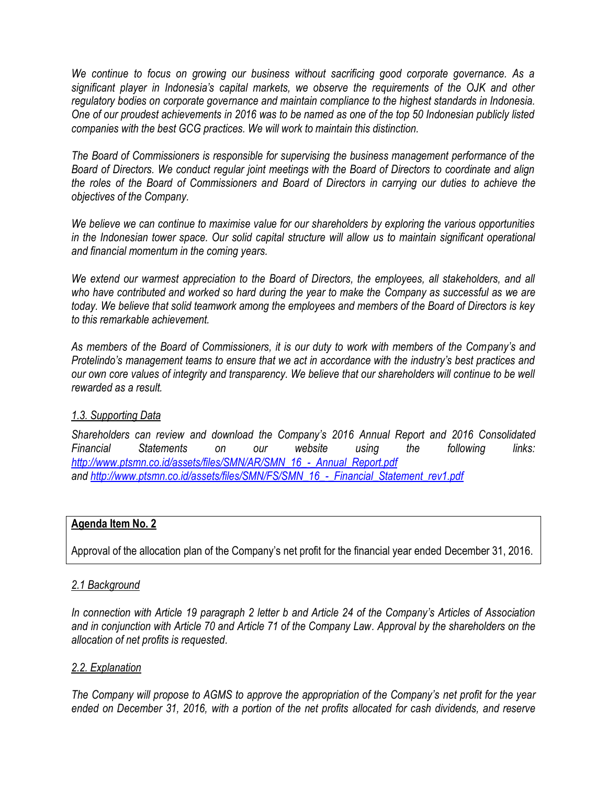*We continue to focus on growing our business without sacrificing good corporate governance. As a significant player in Indonesia's capital markets, we observe the requirements of the OJK and other regulatory bodies on corporate governance and maintain compliance to the highest standards in Indonesia. One of our proudest achievements in 2016 was to be named as one of the top 50 Indonesian publicly listed companies with the best GCG practices. We will work to maintain this distinction.*

*The Board of Commissioners is responsible for supervising the business management performance of the Board of Directors. We conduct regular joint meetings with the Board of Directors to coordinate and align the roles of the Board of Commissioners and Board of Directors in carrying our duties to achieve the objectives of the Company.*

*We believe we can continue to maximise value for our shareholders by exploring the various opportunities in the Indonesian tower space. Our solid capital structure will allow us to maintain significant operational and financial momentum in the coming years.*

*We extend our warmest appreciation to the Board of Directors, the employees, all stakeholders, and all who have contributed and worked so hard during the year to make the Company as successful as we are today. We believe that solid teamwork among the employees and members of the Board of Directors is key to this remarkable achievement.*

*As members of the Board of Commissioners, it is our duty to work with members of the Company's and Protelindo's management teams to ensure that we act in accordance with the industry's best practices and our own core values of integrity and transparency. We believe that our shareholders will continue to be well rewarded as a result.*

#### *1.3. Supporting Data*

*Shareholders can review and download the Company's 2016 Annual Report and 2016 Consolidated Financial Statements on our website using the following links: [http://www.ptsmn.co.id/assets/files/SMN/AR/SMN\\_16\\_-\\_Annual\\_Report.pdf](http://www.ptsmn.co.id/assets/files/SMN/AR/SMN_16_-_Annual_Report.pdf) and [http://www.ptsmn.co.id/assets/files/SMN/FS/SMN\\_16\\_-\\_Financial\\_Statement\\_rev1.pdf](http://www.ptsmn.co.id/assets/files/SMN/FS/SMN_16_-_Financial_Statement_rev1.pdf)*

#### **Agenda Item No. 2**

Approval of the allocation plan of the Company's net profit for the financial year ended December 31, 2016.

### *2.1 Background*

*In connection with Article 19 paragraph 2 letter b and Article 24 of the Company's Articles of Association and in conjunction with Article 70 and Article 71 of the Company Law. Approval by the shareholders on the allocation of net profits is requested.*

### *2.2. Explanation*

*The Company will propose to AGMS to approve the appropriation of the Company's net profit for the year ended on December 31, 2016, with a portion of the net profits allocated for cash dividends, and reserve*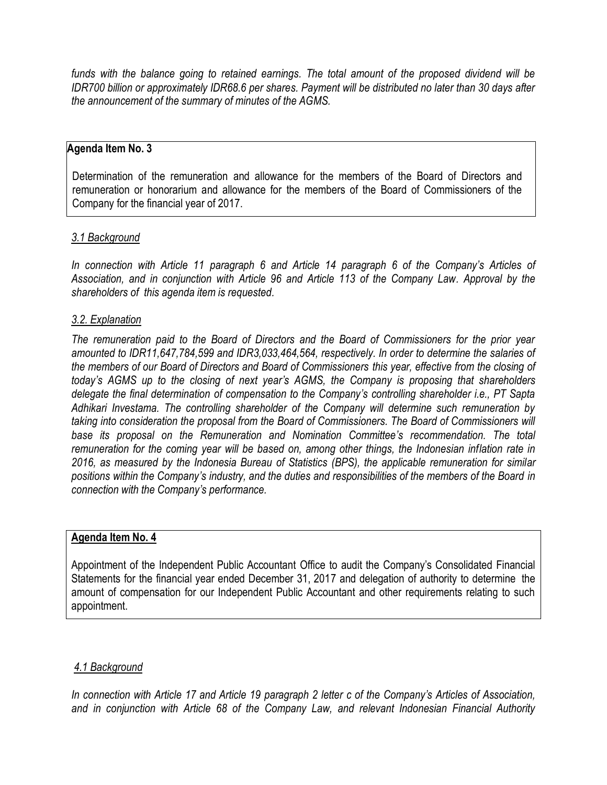*funds with the balance going to retained earnings. The total amount of the proposed dividend will be IDR700 billion or approximately IDR68.6 per shares. Payment will be distributed no later than 30 days after the announcement of the summary of minutes of the AGMS.*

#### **Agenda Item No. 3**

Determination of the remuneration and allowance for the members of the Board of Directors and remuneration or honorarium and allowance for the members of the Board of Commissioners of the Company for the financial year of 2017.

#### *3.1 Background*

*In connection with Article 11 paragraph 6 and Article 14 paragraph 6 of the Company's Articles of Association, and in conjunction with Article 96 and Article 113 of the Company Law. Approval by the shareholders of this agenda item is requested.*

#### *3.2. Explanation*

*The remuneration paid to the Board of Directors and the Board of Commissioners for the prior year amounted to IDR11,647,784,599 and IDR3,033,464,564, respectively. In order to determine the salaries of the members of our Board of Directors and Board of Commissioners this year, effective from the closing of today's AGMS up to the closing of next year's AGMS, the Company is proposing that shareholders delegate the final determination of compensation to the Company's controlling shareholder i.e., PT Sapta Adhikari Investama. The controlling shareholder of the Company will determine such remuneration by taking into consideration the proposal from the Board of Commissioners. The Board of Commissioners will base its proposal on the Remuneration and Nomination Committee's recommendation. The total remuneration for the coming year will be based on, among other things, the Indonesian inflation rate in 2016, as measured by the Indonesia Bureau of Statistics (BPS), the applicable remuneration for similar positions within the Company's industry, and the duties and responsibilities of the members of the Board in connection with the Company's performance.* 

#### **Agenda Item No. 4**

Appointment of the Independent Public Accountant Office to audit the Company's Consolidated Financial Statements for the financial year ended December 31, 2017 and delegation of authority to determine the amount of compensation for our Independent Public Accountant and other requirements relating to such appointment.

#### *4.1 Background*

*In connection with Article 17 and Article 19 paragraph 2 letter c of the Company's Articles of Association, and in conjunction with Article 68 of the Company Law, and relevant Indonesian Financial Authority*